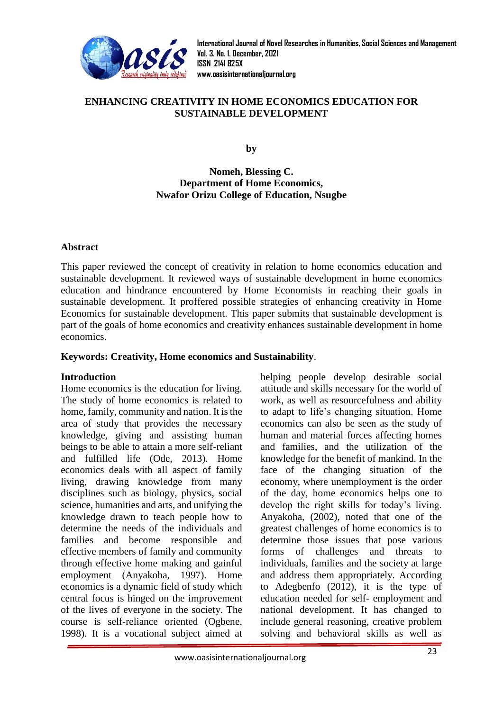

**International Journal of Novel Researches in Humanities, Social Sciences and Management Vol. 3. No. 1. December, 2021 ISSN 2141 825X [www.oasisinternationaljournal.org](http://www.oasisinternationaljournal.org/)**

## **ENHANCING CREATIVITY IN HOME ECONOMICS EDUCATION FOR SUSTAINABLE DEVELOPMENT**

**by**

**Nomeh, Blessing C. Department of Home Economics, Nwafor Orizu College of Education, Nsugbe**

#### **Abstract**

This paper reviewed the concept of creativity in relation to home economics education and sustainable development. It reviewed ways of sustainable development in home economics education and hindrance encountered by Home Economists in reaching their goals in sustainable development. It proffered possible strategies of enhancing creativity in Home Economics for sustainable development. This paper submits that sustainable development is part of the goals of home economics and creativity enhances sustainable development in home economics.

#### **Keywords: Creativity, Home economics and Sustainability**.

#### **Introduction**

Home economics is the education for living. The study of home economics is related to home, family, community and nation. It is the area of study that provides the necessary knowledge, giving and assisting human beings to be able to attain a more self-reliant and fulfilled life (Ode, 2013). Home economics deals with all aspect of family living, drawing knowledge from many disciplines such as biology, physics, social science, humanities and arts, and unifying the knowledge drawn to teach people how to determine the needs of the individuals and families and become responsible and effective members of family and community through effective home making and gainful employment (Anyakoha, 1997). Home economics is a dynamic field of study which central focus is hinged on the improvement of the lives of everyone in the society. The course is self-reliance oriented (Ogbene, 1998). It is a vocational subject aimed at

helping people develop desirable social attitude and skills necessary for the world of work, as well as resourcefulness and ability to adapt to life's changing situation. Home economics can also be seen as the study of human and material forces affecting homes and families, and the utilization of the knowledge for the benefit of mankind. In the face of the changing situation of the economy, where unemployment is the order of the day, home economics helps one to develop the right skills for today's living. Anyakoha, (2002), noted that one of the greatest challenges of home economics is to determine those issues that pose various forms of challenges and threats to individuals, families and the society at large and address them appropriately. According to Adegbenfo (2012), it is the type of education needed for self- employment and national development. It has changed to include general reasoning, creative problem solving and behavioral skills as well as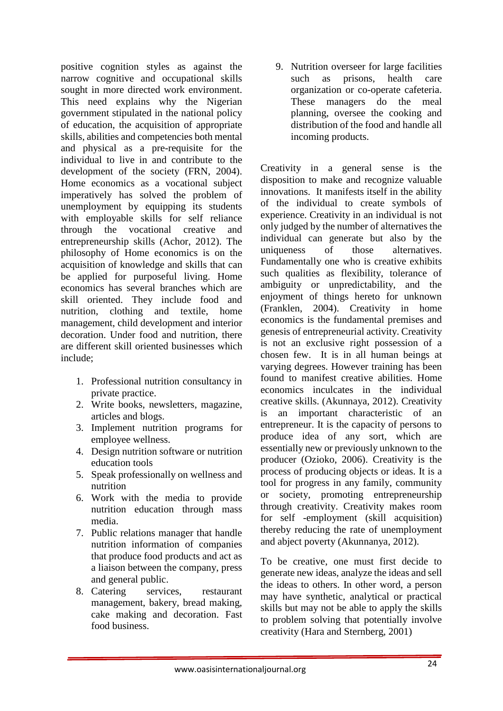positive cognition styles as against the narrow cognitive and occupational skills sought in more directed work environment. This need explains why the Nigerian government stipulated in the national policy of education, the acquisition of appropriate skills, abilities and competencies both mental and physical as a pre-requisite for the individual to live in and contribute to the development of the society (FRN, 2004). Home economics as a vocational subject imperatively has solved the problem of unemployment by equipping its students with employable skills for self reliance through the vocational creative and entrepreneurship skills (Achor, 2012). The philosophy of Home economics is on the acquisition of knowledge and skills that can be applied for purposeful living. Home economics has several branches which are skill oriented. They include food and nutrition, clothing and textile, home management, child development and interior decoration. Under food and nutrition, there are different skill oriented businesses which include;

- 1. Professional nutrition consultancy in private practice.
- 2. Write books, newsletters, magazine, articles and blogs.
- 3. Implement nutrition programs for employee wellness.
- 4. Design nutrition software or nutrition education tools
- 5. Speak professionally on wellness and nutrition
- 6. Work with the media to provide nutrition education through mass media.
- 7. Public relations manager that handle nutrition information of companies that produce food products and act as a liaison between the company, press and general public.
- 8. Catering services, restaurant management, bakery, bread making, cake making and decoration. Fast food business.

9. Nutrition overseer for large facilities such as prisons, health care organization or co-operate cafeteria. These managers do the meal planning, oversee the cooking and distribution of the food and handle all incoming products.

Creativity in a general sense is the disposition to make and recognize valuable innovations. It manifests itself in the ability of the individual to create symbols of experience. Creativity in an individual is not only judged by the number of alternatives the individual can generate but also by the uniqueness of those alternatives. Fundamentally one who is creative exhibits such qualities as flexibility, tolerance of ambiguity or unpredictability, and the enjoyment of things hereto for unknown (Franklen, 2004). Creativity in home economics is the fundamental premises and genesis of entrepreneurial activity. Creativity is not an exclusive right possession of a chosen few. It is in all human beings at varying degrees. However training has been found to manifest creative abilities. Home economics inculcates in the individual creative skills. (Akunnaya, 2012). Creativity is an important characteristic of an entrepreneur. It is the capacity of persons to produce idea of any sort, which are essentially new or previously unknown to the producer (Ozioko, 2006). Creativity is the process of producing objects or ideas. It is a tool for progress in any family, community or society, promoting entrepreneurship through creativity. Creativity makes room for self -employment (skill acquisition) thereby reducing the rate of unemployment and abject poverty (Akunnanya, 2012).

To be creative, one must first decide to generate new ideas, analyze the ideas and sell the ideas to others. In other word, a person may have synthetic, analytical or practical skills but may not be able to apply the skills to problem solving that potentially involve creativity (Hara and Sternberg, 2001)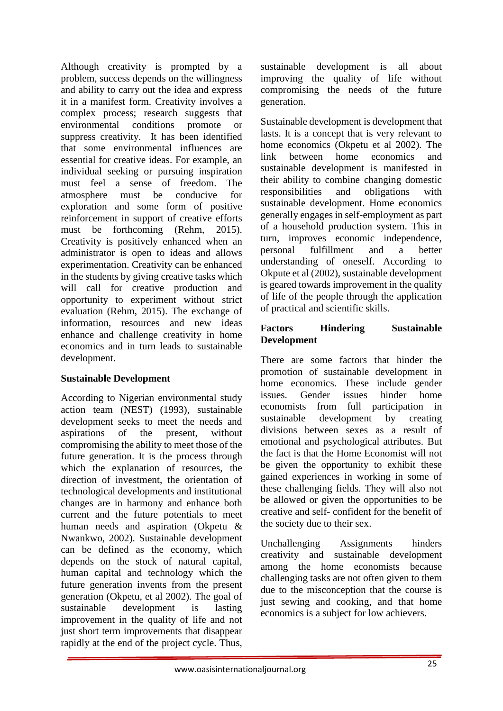Although creativity is prompted by a problem, success depends on the willingness and ability to carry out the idea and express it in a manifest form. Creativity involves a complex process; research suggests that environmental conditions promote or suppress creativity. It has been identified that some environmental influences are essential for creative ideas. For example, an individual seeking or pursuing inspiration must feel a sense of freedom. The atmosphere must be conducive for exploration and some form of positive reinforcement in support of creative efforts must be forthcoming (Rehm, 2015). Creativity is positively enhanced when an administrator is open to ideas and allows experimentation. Creativity can be enhanced in the students by giving creative tasks which will call for creative production and opportunity to experiment without strict evaluation (Rehm, 2015). The exchange of information, resources and new ideas enhance and challenge creativity in home economics and in turn leads to sustainable development.

# **Sustainable Development**

According to Nigerian environmental study action team (NEST) (1993), sustainable development seeks to meet the needs and aspirations of the present, without compromising the ability to meet those of the future generation. It is the process through which the explanation of resources, the direction of investment, the orientation of technological developments and institutional changes are in harmony and enhance both current and the future potentials to meet human needs and aspiration (Okpetu & Nwankwo, 2002). Sustainable development can be defined as the economy, which depends on the stock of natural capital, human capital and technology which the future generation invents from the present generation (Okpetu, et al 2002). The goal of sustainable development is lasting improvement in the quality of life and not just short term improvements that disappear rapidly at the end of the project cycle. Thus,

sustainable development is all about improving the quality of life without compromising the needs of the future generation.

Sustainable development is development that lasts. It is a concept that is very relevant to home economics (Okpetu et al 2002). The link between home economics and sustainable development is manifested in their ability to combine changing domestic responsibilities and obligations with sustainable development. Home economics generally engages in self-employment as part of a household production system. This in turn, improves economic independence, personal fulfillment and a better understanding of oneself. According to Okpute et al (2002), sustainable development is geared towards improvement in the quality of life of the people through the application of practical and scientific skills.

## **Factors Hindering Sustainable Development**

There are some factors that hinder the promotion of sustainable development in home economics. These include gender issues. Gender issues hinder home economists from full participation in sustainable development by creating divisions between sexes as a result of emotional and psychological attributes. But the fact is that the Home Economist will not be given the opportunity to exhibit these gained experiences in working in some of these challenging fields. They will also not be allowed or given the opportunities to be creative and self- confident for the benefit of the society due to their sex.

Unchallenging Assignments hinders creativity and sustainable development among the home economists because challenging tasks are not often given to them due to the misconception that the course is just sewing and cooking, and that home economics is a subject for low achievers.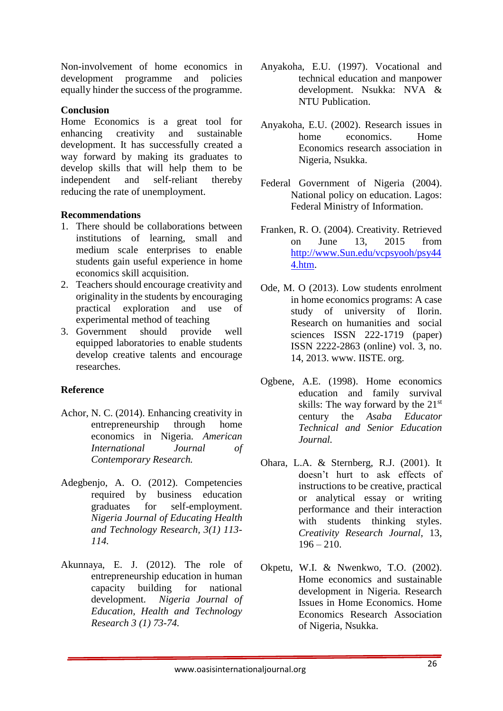Non-involvement of home economics in development programme and policies equally hinder the success of the programme.

## **Conclusion**

Home Economics is a great tool for enhancing creativity and sustainable development. It has successfully created a way forward by making its graduates to develop skills that will help them to be independent and self-reliant thereby reducing the rate of unemployment.

# **Recommendations**

- 1. There should be collaborations between institutions of learning, small and medium scale enterprises to enable students gain useful experience in home economics skill acquisition.
- 2. Teachers should encourage creativity and originality in the students by encouraging practical exploration and use of experimental method of teaching
- 3. Government should provide well equipped laboratories to enable students develop creative talents and encourage researches.

# **Reference**

- Achor, N. C. (2014). Enhancing creativity in entrepreneurship through home economics in Nigeria. *American International Journal of Contemporary Research.*
- Adegbenjo, A. O. (2012). Competencies required by business education graduates for self-employment. *Nigeria Journal of Educating Health and Technology Research, 3(1) 113- 114.*
- Akunnaya, E. J. (2012). The role of entrepreneurship education in human capacity building for national development. *Nigeria Journal of Education, Health and Technology Research 3 (1) 73-74.*
- Anyakoha, E.U. (1997). Vocational and technical education and manpower development. Nsukka: NVA & NTU Publication.
- Anyakoha, E.U. (2002). Research issues in home economics. Home Economics research association in Nigeria, Nsukka.
- Federal Government of Nigeria (2004). National policy on education. Lagos: Federal Ministry of Information.
- Franken, R. O. (2004). Creativity. Retrieved on June 13, 2015 from [http://www.Sun.edu/vcpsyooh/psy44](http://www.sun.edu/vcpsyooh/psy444.htm) [4.htm.](http://www.sun.edu/vcpsyooh/psy444.htm)
- Ode, M. O (2013). Low students enrolment in home economics programs: A case study of university of Ilorin. Research on humanities and social sciences ISSN 222-1719 (paper) ISSN 2222-2863 (online) vol. 3, no. 14, 2013. www. IISTE. org.
- Ogbene, A.E. (1998). Home economics education and family survival skills: The way forward by the 21st century the *Asaba Educator Technical and Senior Education Journal.*
- Ohara, L.A. & Sternberg, R.J. (2001). It doesn't hurt to ask effects of instructions to be creative, practical or analytical essay or writing performance and their interaction with students thinking styles. *Creativity Research Journal*, 13,  $196 - 210$ .
- Okpetu, W.I. & Nwenkwo, T.O. (2002). Home economics and sustainable development in Nigeria. Research Issues in Home Economics. Home Economics Research Association of Nigeria, Nsukka.